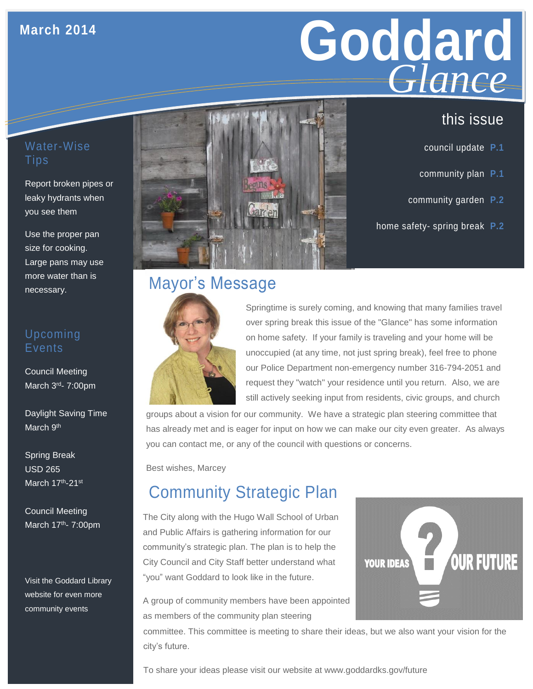### **March 2014**

# Goddard **GLANCE**<br>
this issue *Glance*

### Water-Wise Tips

Report broken pipes or leaky hydrants when you see them

Use the proper pan size for cooking. Large pans may use more water than is necessary.

### Upcoming Events

Council Meeting March 3<sup>rd</sup>- 7:00pm

Daylight Saving Time March 9<sup>th</sup>

Spring Break USD 265 March 17th-21st

Council Meeting March 17th- 7:00pm

Visit the Goddard Library website for even more community events



# Mayor's Message



Springtime is surely coming, and knowing that many families travel over spring break this issue of the "Glance" has some information on home safety. If your family is traveling and your home will be unoccupied (at any time, not just spring break), feel free to phone our Police Department non-emergency number 316-794-2051 and request they "watch" your residence until you return. Also, we are still actively seeking input from residents, civic groups, and church

groups about a vision for our community. We have a strategic plan steering committee that has already met and is eager for input on how we can make our city even greater. As always you can contact me, or any of the council with questions or concerns.

Best wishes, Marcey

# Community Strategic Plan

The City along with the Hugo Wall School of Urban and Public Affairs is gathering information for our community's strategic plan. The plan is to help the City Council and City Staff better understand what "you" want Goddard to look like in the future.



A group of community members have been appointed as members of the community plan steering

committee. This committee is meeting to share their ideas, but we also want your vision for the city's future.

To share your ideas please visit our website at www.goddardks.gov/future

- council update **P.1**
- community plan **P.1**
- community garden **P.2**
- home safety- spring break **P.2**